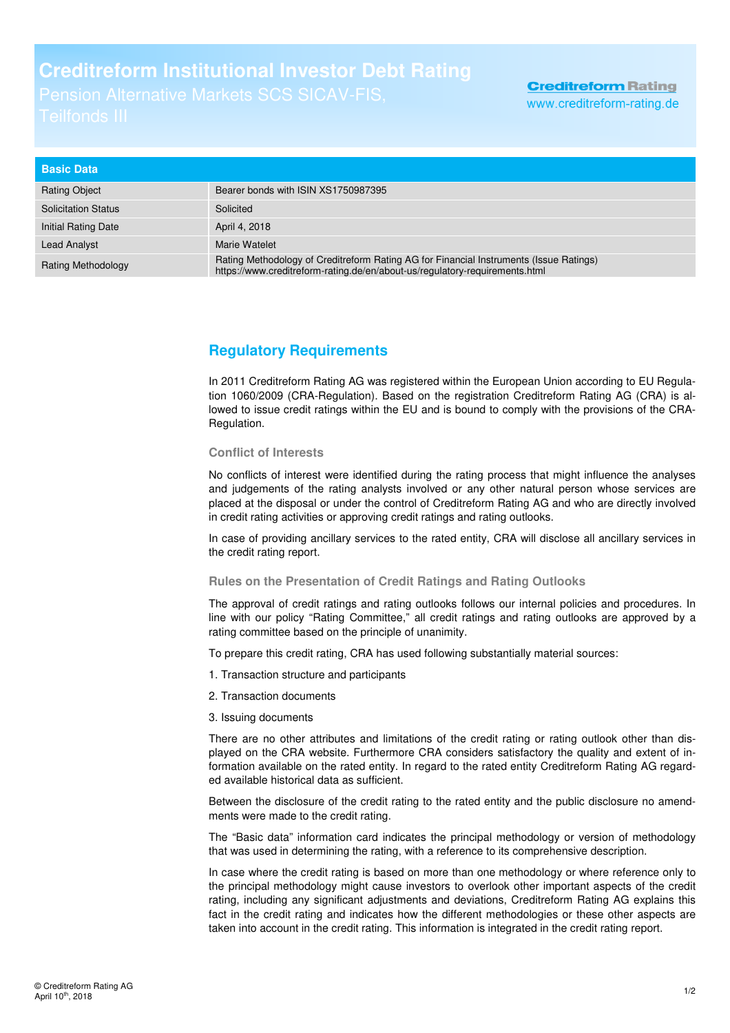## **Creditreform Institutional Investor Debt Rating**

| <b>Basic Data</b>          |                                                                                                                                                                       |
|----------------------------|-----------------------------------------------------------------------------------------------------------------------------------------------------------------------|
| <b>Rating Object</b>       | Bearer bonds with ISIN XS1750987395                                                                                                                                   |
| <b>Solicitation Status</b> | Solicited                                                                                                                                                             |
| Initial Rating Date        | April 4, 2018                                                                                                                                                         |
| <b>Lead Analyst</b>        | Marie Watelet                                                                                                                                                         |
| <b>Rating Methodology</b>  | Rating Methodology of Creditreform Rating AG for Financial Instruments (Issue Ratings)<br>https://www.creditreform-rating.de/en/about-us/regulatory-requirements.html |

## **Regulatory Requirements**

In 2011 Creditreform Rating AG was registered within the European Union according to EU Regulation 1060/2009 (CRA-Regulation). Based on the registration Creditreform Rating AG (CRA) is allowed to issue credit ratings within the EU and is bound to comply with the provisions of the CRA-Regulation.

## **Conflict of Interests**

No conflicts of interest were identified during the rating process that might influence the analyses and judgements of the rating analysts involved or any other natural person whose services are placed at the disposal or under the control of Creditreform Rating AG and who are directly involved in credit rating activities or approving credit ratings and rating outlooks.

In case of providing ancillary services to the rated entity, CRA will disclose all ancillary services in the credit rating report.

## **Rules on the Presentation of Credit Ratings and Rating Outlooks**

The approval of credit ratings and rating outlooks follows our internal policies and procedures. In line with our policy "Rating Committee," all credit ratings and rating outlooks are approved by a rating committee based on the principle of unanimity.

To prepare this credit rating, CRA has used following substantially material sources:

- 1. Transaction structure and participants
- 2. Transaction documents
- 3. Issuing documents

There are no other attributes and limitations of the credit rating or rating outlook other than displayed on the CRA website. Furthermore CRA considers satisfactory the quality and extent of information available on the rated entity. In regard to the rated entity Creditreform Rating AG regarded available historical data as sufficient.

Between the disclosure of the credit rating to the rated entity and the public disclosure no amendments were made to the credit rating.

The "Basic data" information card indicates the principal methodology or version of methodology that was used in determining the rating, with a reference to its comprehensive description.

In case where the credit rating is based on more than one methodology or where reference only to the principal methodology might cause investors to overlook other important aspects of the credit rating, including any significant adjustments and deviations, Creditreform Rating AG explains this fact in the credit rating and indicates how the different methodologies or these other aspects are taken into account in the credit rating. This information is integrated in the credit rating report.